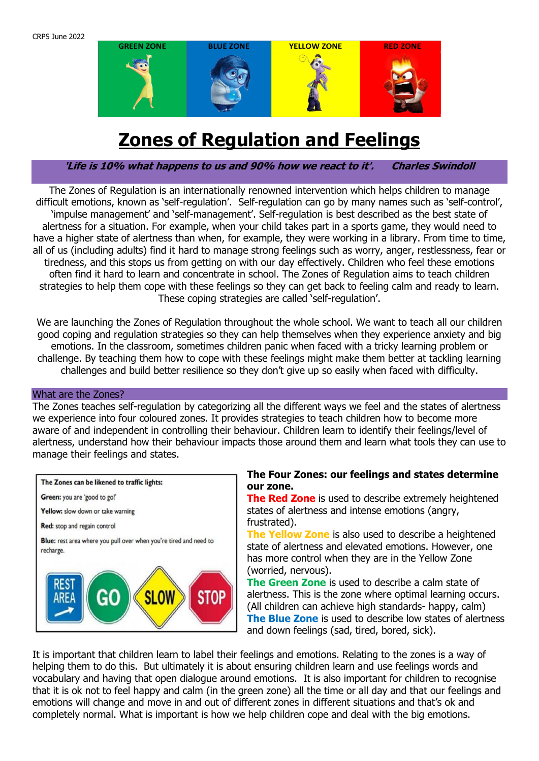

# **Zones of Regulation and Feelings**

**'Life is 10% what happens to us and 90% how we react to it'. Charles Swindoll**

The Zones of Regulation is an internationally renowned intervention which helps children to manage difficult emotions, known as 'self-regulation'. Self-regulation can go by many names such as 'self-control', 'impulse management' and 'self-management'. Self-regulation is best described as the best state of alertness for a situation. For example, when your child takes part in a sports game, they would need to have a higher state of alertness than when, for example, they were working in a library. From time to time, all of us (including adults) find it hard to manage strong feelings such as worry, anger, restlessness, fear or tiredness, and this stops us from getting on with our day effectively. Children who feel these emotions often find it hard to learn and concentrate in school. The Zones of Regulation aims to teach children strategies to help them cope with these feelings so they can get back to feeling calm and ready to learn. These coping strategies are called 'self-regulation'.

We are launching the Zones of Regulation throughout the whole school. We want to teach all our children good coping and regulation strategies so they can help themselves when they experience anxiety and big emotions. In the classroom, sometimes children panic when faced with a tricky learning problem or challenge. By teaching them how to cope with these feelings might make them better at tackling learning challenges and build better resilience so they don't give up so easily when faced with difficulty.

#### What are the Zones?

The Zones teaches self-regulation by categorizing all the different ways we feel and the states of alertness we experience into four coloured zones. It provides strategies to teach children how to become more aware of and independent in controlling their behaviour. Children learn to identify their feelings/level of alertness, understand how their behaviour impacts those around them and learn what tools they can use to manage their feelings and states.



#### **The Four Zones: our feelings and states determine our zone.**

**The Red Zone** is used to describe extremely heightened states of alertness and intense emotions (angry, frustrated).

**The Yellow Zone** is also used to describe a heightened state of alertness and elevated emotions. However, one has more control when they are in the Yellow Zone (worried, nervous).

**The Green Zone** is used to describe a calm state of alertness. This is the zone where optimal learning occurs. (All children can achieve high standards- happy, calm) **The Blue Zone** is used to describe low states of alertness and down feelings (sad, tired, bored, sick).

It is important that children learn to label their feelings and emotions. Relating to the zones is a way of helping them to do this. But ultimately it is about ensuring children learn and use feelings words and vocabulary and having that open dialogue around emotions. It is also important for children to recognise that it is ok not to feel happy and calm (in the green zone) all the time or all day and that our feelings and emotions will change and move in and out of different zones in different situations and that's ok and completely normal. What is important is how we help children cope and deal with the big emotions.